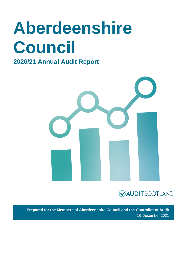# **Aberdeenshire Council**

### **2020/21 Annual Audit Report**





**Prepared for the Members of Aberdeenshire Council and the Controller of Audit** 16 December 2021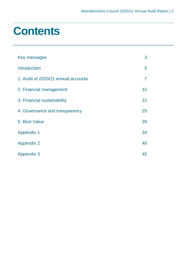### **Contents**

| Key messages                        | 3               |
|-------------------------------------|-----------------|
| <b>Introduction</b>                 | 5               |
| 1. Audit of 2020/21 annual accounts | $\overline{7}$  |
| 2. Financial management             | 15 <sub>1</sub> |
| 3. Financial sustainability         | 22              |
| 4. Governance and transparency      | 25              |
| 5. Best Value                       | 29              |
| <b>Appendix 1</b>                   | 34              |
| <b>Appendix 2</b>                   | 40              |
| <b>Appendix 3</b>                   | 45              |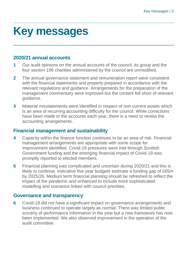## <span id="page-2-0"></span>**Key messages**

#### **2020/21 annual accounts**

- **1** Our audit opinions on the annual accounts of the council, its group and the four section 106 charities administered by the council are unmodified.
- **2** The annual governance statement and remuneration report were consistent with the financial statements and properly prepared in accordance with the relevant regulations and guidance. Arrangements for the preparation of the management commentary were improved but the content fell short of relevant guidance.
- **3** Material misstatements were identified in respect of non-current assets which is an area of recurring accounting difficulty for the council. While corrections have been made to the accounts each year, there is a need to review the accounting arrangements.

#### **Financial management and sustainability**

- **4** Capacity within the finance function continues to be an area of risk. Financial management arrangements are appropriate with some scope for improvement identified. Covid-19 pressures were met through Scottish Government funding and the emerging financial impact of Covid-19 was promptly reported to elected members.
- **5** Financial planning was complicated and uncertain during 2020/21 and this is likely to continue. Indicative five year budgets estimate a funding gap of £65m by 2025/26. Medium term financial planning should be refreshed to reflect the impact of the pandemic and enhanced to include more sophisticated modelling and scenarios linked with council priorities.

#### **Governance and transparency**

**6** Covid-19 did not have a significant impact on governance arrangements and business continued to operate largely as normal. There was limited public scrutiny of performance information in the year but a new framework has now been implemented. We also observed improvement in the operation of the audit committee.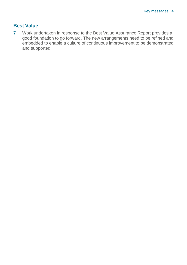#### **Best Value**

**7** Work undertaken in response to the Best Value Assurance Report provides a good foundation to go forward. The new arrangements need to be refined and embedded to enable a culture of continuous improvement to be demonstrated and supported.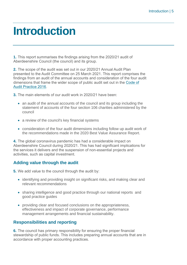### <span id="page-4-0"></span>**Introduction**

**1.** This report summarises the findings arising from the 2020/21 audit of Aberdeenshire Council (the council) and its group.

**2.** The scope of the audit was set out in our 2020/21 Annual Audit Plan presented to the Audit Committee on 25 March 2021. This report comprises the findings from an audit of the annual accounts and consideration of the four audit dimensions that frame the wider scope of public audit set out in the [Code of](http://www.audit-scotland.gov.uk/report/code-of-audit-practice-2016)  [Audit Practice 2016.](http://www.audit-scotland.gov.uk/report/code-of-audit-practice-2016)

**3.** The main elements of our audit work in 2020/21 have been:

- an audit of the annual accounts of the council and its group including the statement of accounts of the four section 106 charities administered by the council
- a review of the council's key financial systems
- consideration of the four audit dimensions including follow up audit work of the recommendations made in the 2020 Best Value Assurance Report.

**4.** The global coronavirus pandemic has had a considerable impact on Aberdeenshire Council during 2020/21. This has had significant implications for the services it delivers and the suspension of non-essential projects and activities, such as capital investment.

#### **Adding value through the audit**

**5.** We add value to the council through the audit by:

- identifying and providing insight on significant risks, and making clear and relevant recommendations
- sharing intelligence and good practice through our national reports and good practice guides
- providing clear and focused conclusions on the appropriateness, effectiveness and impact of corporate governance, performance management arrangements and financial sustainability.

#### **Responsibilities and reporting**

**6.** The council has primary responsibility for ensuring the proper financial stewardship of public funds. This includes preparing annual accounts that are in accordance with proper accounting practices.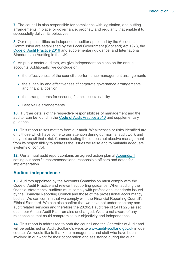**7.** The council is also responsible for compliance with legislation, and putting arrangements in place for governance, propriety and regularity that enable it to successfully deliver its objectives.

**8.** Our responsibilities as independent auditor appointed by the Accounts Commission are established by the Local Government (Scotland) Act 1973, the [Code of Audit Practice 2016](http://www.audit-scotland.gov.uk/report/code-of-audit-practice-2016) and supplementary guidance, and International Standards on Auditing in the UK.

**9.** As public sector auditors, we give independent opinions on the annual accounts. Additionally, we conclude on:

- the effectiveness of the council's performance management arrangements
- the suitability and effectiveness of corporate governance arrangements, and financial position
- the arrangements for securing financial sustainability
- Best Value arrangements.

**10.** Further details of the respective responsibilities of management and the auditor can be found in the [Code of Audit Practice 2016](http://www.audit-scotland.gov.uk/report/code-of-audit-practice-2016) and supplementary guidance.

**11.** This report raises matters from our audit. Weaknesses or risks identified are only those which have come to our attention during our normal audit work and may not be all that exist. Communicating these does not absolve management from its responsibility to address the issues we raise and to maintain adequate systems of control.

**12.** Our annual audit report contains an agreed action plan at [Appendix 1](#page-33-0) setting out specific recommendations, responsible officers and dates for implementation.

#### **Auditor independence**

**13.** Auditors appointed by the Accounts Commission must comply with the Code of Audit Practice and relevant supporting guidance. When auditing the financial statements, auditors must comply with professional standards issued by the Financial Reporting Council and those of the professional accountancy bodies. We can confirm that we comply with the Financial Reporting Council's Ethical Standard. We can also confirm that we have not undertaken any nonaudit related services and therefore the 2020/21 audit fee of £411,220 as set out in our Annual Audit Plan remains unchanged. We are not aware of any relationships that could compromise our objectivity and independence.

**14.** This report is addressed to both the council and the Controller of Audit and will be published on Audit Scotland's website [www.audit-scotland.gov.uk](http://www.audit-scotland.gov.uk/) in due course. We would like to thank the management and staff who have been involved in our work for their cooperation and assistance during the audit.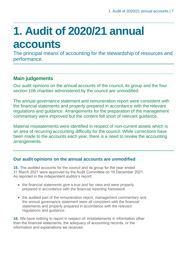# <span id="page-6-0"></span>**1. Audit of 2020/21 annual accounts**

The principal means of accounting for the stewardship of resources and performance.

### **Main judgements**

Our audit opinions on the annual accounts of the council, its group and the four section 106 charities administered by the council are unmodified.

The annual governance statement and remuneration report were consistent with the financial statements and properly prepared in accordance with the relevant regulations and guidance. Arrangements for the preparation of the management commentary were improved but the content fell short of relevant guidance.

Material misstatements were identified in respect of non-current assets which is an area of recurring accounting difficulty for the council. While corrections have been made to the accounts each year, there is a need to review the accounting arrangements.

#### **Our audit opinions on the annual accounts are unmodified**

**15.** The audited accounts for the council and its group for the year ended 31 March 2021 were approved by the Audit Committee on 16 December 2021. As reported in the independent auditor's report:

- the financial statements give a true and fair view and were properly prepared in accordance with the financial reporting framework
- the audited part of the remuneration report, management commentary and the annual governance statement were all consistent with the financial statements and properly prepared in accordance with the relevant regulations and guidance.

**16.** We have nothing to report in respect of: misstatements in information other than the financial statements, the adequacy of accounting records, or the information and explanations we received.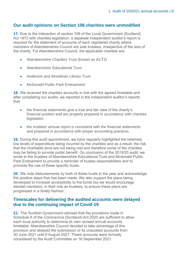#### **Our audit opinions on Section 106 charities were unmodified**

**17.** Due to the interaction of section 106 of the Local Government (Scotland) Act 1973 with charities legislation, a separate independent auditor's report is required for the statement of accounts of each registered charity where members of Aberdeenshire Council are sole trustees, irrespective of the size of the charity. For Aberdeenshire Council, the applicable charities are:

- Aberdeenshire Charities Trust (known as ACT2)
- Aberdeenshire Educational Trust
- Anderson and Woodman Library Trust
- McDonald Public Park Endowment.

**18.** We received the charities accounts in line with the agreed timetable and after completing our audits, we reported in the independent auditor's reports that:

- the financial statements give a true and fair view of the charity's financial position and are properly prepared in accordance with charities legislation
- the trustees' annual report is consistent with the financial statements and prepared in accordance with proper accounting practices.

**19.** During this audit appointment, we have regularly highlighted the relatively low levels of expenditure being incurred by the charities and as a result, the risk that the charitable aims are not being met and therefore some of the charities may be failing to provide public benefit. On conclusion of the 2019/20 audit, we wrote to the trustees of Aberdeenshire Educational Trust and Mcdonald Public Park Endowment to provide a reminder of trustee responsibilities and to promote the use of these specific trusts.

**20.** We note disbursements by both of these trusts in the year and acknowledge the positive steps that has been made. We also support the plans being developed to increase accessibility to the funds but we would encourage elected members, in their role as trustees, to ensure these plans are progressed in a timely fashion.

#### **Timescales for delivering the audited accounts were delayed due to the continuing impact of Covid-19**

**21.** The Scottish Government advised that the provisions made in Schedule 6 of the Coronavirus (Scotland) Act 2020 are sufficient to allow each local authority to determine its own revised annual accounts timetable. Aberdeenshire Council decided to take advantage of this provision and delayed the submission of its unaudited accounts from 30 June 2021 until 6 August 2021. These accounts were formally considered by the Audit Committee on 16 September 2021.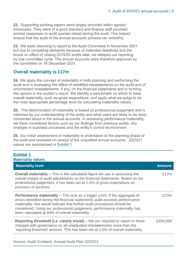**22.** Supporting working papers were largely provided within agreed timescales. They were of a good standard and finance staff provided prompt responses to audit queries raised during the audit. This helped ensure that the audit of the annual accounts process ran smoothly.

**23.** We were intending to report to the Audit Committee in November 2021 but due to competing demands because of extended deadlines and the knock on effect of closing 2019/20 audits later, we delayed our reporting by one committee cycle. The annual accounts were therefore approved by the committee on 16 December 2021.

#### **Overall materiality is £17m**

**24.** We apply the concept of materiality in both planning and performing the audit and in evaluating the effect of identified misstatements on the audit and of uncorrected misstatements, if any, on the financial statements and in forming the opinion in the auditor's report. We identify a benchmark on which to base overall materiality, such as gross expenditure, and apply what we judge to be the most appropriate percentage level for calculating materiality values.

**25.** The determination of materiality is based on professional judgement and is informed by our understanding of the entity and what users are likely to be most concerned about in the annual accounts. In assessing performance materiality, we have considered factors such as our findings from previous audits, any changes in business processes and the entity's control environment.

**26.** Our initial assessment of materiality is undertaken at the planning phase of the audit and reviewed on receipt of the unaudited annual accounts. 2020/21 values are summarised in [Exhibit 1.](#page-8-0)

<span id="page-8-0"></span>

| <b>Exhibit 1</b><br><b>Materiality values</b>                                                                                                                                                                                                                                                                                                                                |               |
|------------------------------------------------------------------------------------------------------------------------------------------------------------------------------------------------------------------------------------------------------------------------------------------------------------------------------------------------------------------------------|---------------|
| <b>Materiality level</b>                                                                                                                                                                                                                                                                                                                                                     | <b>Amount</b> |
| <b>Overall materiality – This is the calculated figure we use in assessing the</b><br>overall impact of audit adjustments on the financial statements. Based on our<br>professional judgement, it has been set at 1.5% of gross expenditure on<br>provision of services.                                                                                                     | £17m          |
| <b>Performance materiality –</b> This acts as a trigger point. If the aggregate of<br>errors identified during the financial statements audit exceeds performance<br>materiality, this would indicate that further audit procedures should be<br>considered. Using our professional judgement, performance materiality has<br>been calculated at 60% of overall materiality. | f10m          |
| <b>Reporting threshold (i.e. clearly trivial) –</b> We are required to report to those<br>charged with governance on all unadjusted misstatements more than the<br>'reporting threshold' amount. This has been set at 1.5% of overall materiality.                                                                                                                           | £250,000      |
|                                                                                                                                                                                                                                                                                                                                                                              |               |

Source: Audit Scotland, Annual Audit Plan 2020/21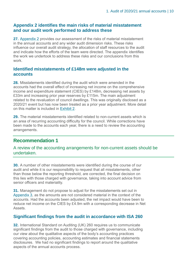#### **Appendix 2 identifies the main risks of material misstatement and our audit work performed to address these**

**27.** Appendix 2 [provides our assessment of the risks of material misstatement](#page-39-0)  [in the annual accounts and any wider audit dimension risks. These risks](#page-39-0)  [influence our overall audit strategy, the allocation of staff resources to the audit](#page-39-0)  [and indicate how the efforts of the team were directed. The appendix identifies](#page-39-0)  [the work we undertook to address these risks and our conclusions from this](#page-39-0)  [work.](#page-39-0) 

#### **Identified misstatements of £148m were adjusted in the accounts**

**28.** Misstatements identified during the audit which were amended in the accounts had the overall effect of increasing net income on the comprehensive income and expenditure statement (CIES) by £148m, decreasing net assets by £33m and increasing prior year reserves by £115m. The main adjustment related to the revaluation of council dwellings. This was originally disclosed as a 2020/21 event but has now been treated as a prior year adjustment. More detail on this matter is included in [Exhibit 2.](#page-10-0)

**29.** The material misstatements identified related to non-current assets which is an area of recurring accounting difficulty for the council. While corrections have been made to the accounts each year, there is a need to review the accounting arrangements.

#### **Recommendation 1**

A review of the accounting arrangements for non-current assets should be undertaken.

**30.** A number of other misstatements were identified during the course of our audit and while it is our responsibility to request that all misstatements, other than those below the reporting threshold, are corrected, the final decision on this lies with those charged with governance, taking into account advice from senior officers and materiality.

**31.** Management do not propose to adjust for the misstatements set out in [Appendix 3,](#page-44-0) as the amounts are not considered material in the context of the accounts. Had the accounts been adjusted, the net impact would have been to reduce net income on the CIES by £4.9m with a corresponding decrease in Net Assets.

#### **Significant findings from the audit in accordance with ISA 260**

**32.** International Standard on Auditing (UK) 260 requires us to communicate significant findings from the audit to those charged with governance, including our view about the qualitative aspects of the body's accounting practices covering accounting policies, accounting estimates and financial statements disclosures. We had no significant findings to report around the qualitative aspects of the annual accounts process.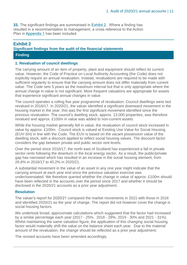**33.** The significant findings are summarised in [Exhibit 2.](#page-10-0) Where a finding has resulted in a recommendation to management, a cross reference to the Action Plan in [Appendix 1](#page-33-0) has been included.

#### <span id="page-10-0"></span>**Exhibit 2**

#### **Significant findings from the audit of the financial statements**

#### **Finding**

#### **1. Revaluation of council dwellings**

The carrying amount of an item of property, plant and equipment should reflect its current value. However, the Code of Practice on Local Authority Accounting (the Code) does not explicitly require an annual revaluation. Instead, revaluations are required to be made with sufficient regularity to ensure that the carrying amount does not differ materially from current value. The Code sets 5 years as the maximum interval but that is only appropriate where the annual change in value is not significant. More frequent valuations are appropriate for assets that experience significant annual changes in value.

The council operates a rolling five year programme of revaluation. Council dwellings were last revalued in 2016/17. In 2020/21, the valuer identified a significant downward movement in the housing market in the year, this was the first significant movement identified since the previous revaluation. The council's dwelling stock, approx. 13,000 properties, was therefore revalued and approx. £100m in value was added to non-current assets.

While the housing market generally fell in value, the revaluation of council stock increased in value by approx. £100m. Council stock is valued at Existing Use Value for Social Housing (EUV-SH) in line with the Code. The EUV is based on the vacant possession value of the dwelling stock, with a discount applied to reflect social housing values. The discount factor considers the gap between private and public sector rent levels.

Over the period since 2016/17, the north east of Scotland has experienced a fall in private sector rents following the downturn in the local energy sector. As a result, the public/private gap has narrowed which has resulted in an increase in the social housing element, from 28.6% in 2016/17 to 40.2% in 2020/21.

A substantial movement in the value of an asset in any one year might indicate that the carrying amount at each year end since the previous valuation exercise was under/overstated. We therefore queried whether the change in value of approx. £100m should have been reflected in the accounts over the period since 2017 and whether it should be disclosed in the 2020/21 accounts as a prior year adjustment.

#### **Resolution**

The valuer's report for 2020/21 compared the market movements in 2021 with those in 2016 and identified 2020/21 as the year of change. The report did not however cover the change is social housing factors.

We undertook broad, approximate calculations which suggested that the factor had increased by a similar percentage each year (2017 - 25%, 2018 - 28%, 2019 - 30% and 2021 - 31%). Whilst maintaining the same valuation figure, the application of this changing social housing factor would materially shift the value on the balance sheet each year. Due to the material amount of the revaluation, the change should be reflected as a prior year adjustment.

The revised accounts have been amended accordingly.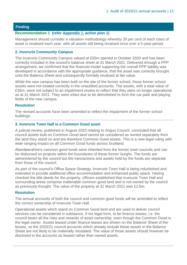#### **Finding**

#### **Recommendation 1 (refer [Appendix 1,](#page-33-0) action plan 1)**

Management should consider a valuation methodology whereby 20 per cent of each class of asset is revalued each year, with all assets still being revalued once over a 5-year period.

#### **2. Inverurie Community Campus**

The Inverurie Community Campus valued at £55m opened in October 2020 and has been correctly included in the council's balance sheet at 31 March 2021. Delivered through a PPP arrangement, we confirmed that the financial model supporting the overall PPP liability was developed in accordance with the appropriate guidance, that the asset was correctly brought onto the Balance Sheet and subsequently formally revalued at fair value.

While the new campus has been built on the site of the former school, those former school assets were not treated correctly in the unaudited accounts. The assets, with a total value of £35m, were not subject to an impairment review to reflect that they were no longer operational as at 31 March 2021. They were infact due to be demolished to form the car park and playing fields of the new campus.

#### **Resolution**

The revised accounts have been amended to reflect the impairment of the former school buildings.

#### **3. Inverurie Town Hall is a Common Good asset**

A judicial review, published in August 2020 relating to Angus Council, concluded that all council assets built on Common Good land cannot be considered as owned separately from the land they stand on and are therefore Common Good assets. This is a new legal ruling with wide ranging impact on all Common Good funds across Scotland.

Aberdeenshire's common good funds were inherited from the former town councils and can be disbursed on projects within the boundaries of these former burghs. The funds are administered by the council but the transactions and assets held by the funds are separate from those of the council.

As part of the council's Office Space Strategy, Inverurie Town Hall is being refurbished and extended to provide additional office accommodation and enhanced public space. Having checked the title deeds for the property, officers established that Inverurie Town Hall and surrounding areas comprise inalienable common good land and is not owned by the council as previously thought. The value of the property at 31 March 2021 was £2.6m.

#### **Resolution**

The annual accounts of both the council and common good funds will be amended to reflect the correct ownership of Inverurie Town Hall.

Operational assets which stand on Common Good land and are used to deliver council services can be considered in substance, if not legal form, to be finance leases, i.e. the council bears all the risks and rewards of asset ownership, even though the Common Good is the legal owner. Assets leased under finance leases are shown on the Balance Sheet of the lessee, so the 2020/21 council accounts which already include these assets in the Balance Sheet are not likely to be materially misstated. The value of those assets should however be disclosed in the accounts as leased rather than owned assets.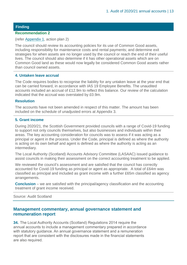#### **Finding**

#### **Recommendation 2**

(refer [Appendix 1,](#page-33-0) action plan 2)

The council should review its accounting policies for its use of Common Good assets, including responsibility for maintenance costs and rental payments; and determine exit strategies for when assets are no longer used by the council or reach the end of their useful lives. The council should also determine if it has other operational assets which are on Common Good land as these would now legally be considered Common Good assets rather than council owned assets.

#### **4. Untaken leave accrual**

The Code requires bodies to recognise the liability for any untaken leave at the year end that can be carried forward, in accordance with IAS 19 Employee Benefits. The unaudited accounts included an accrual of £12.9m to reflect this balance. Our review of the calculation indicated that the accrual was overstated by £0.9m.

#### **Resolution**

The accounts have not been amended in respect of this matter. The amount has been included on the schedule of unadjusted errors at Appendix 3.

#### **5. Grant income**

During 2020/21, the Scottish Government provided councils with a range of Covid-19 funding to support not only councils themselves, but also businesses and individuals within their areas. The key accounting consideration for councils was to assess if it was acting as a principal or agent in the process. Under the Code, principal is defined as where the authority is acting on its own behalf and agent is defined as where the authority is acting as an intermediary.

The Local Authority (Scotland) Accounts Advisory Committee (LASAAC) issued guidance to assist councils in making their assessment on the correct accounting treatment to be applied.

We reviewed the council's assessment and are satisfied that the council has correctly accounted for Covid-19 funding as principal or agent as appropriate. A total of £64m was classified as principal and included as grant income with a further £65m classified as agency arrangements.

**Conclusion** – we are satisfied with the principal/agency classification and the accounting treatment of grant income received.

#### Source: Audit Scotland

#### **Management commentary, annual governance statement and remuneration report**

**34.** The Local Authority Accounts (Scotland) Regulations 2014 require the annual accounts to include a management commentary prepared in accordance with statutory guidance. An annual governance statement and a remuneration report that are consistent with the disclosures made in the financial statements are also required.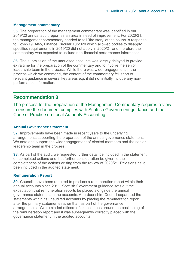#### **Management commentary**

**35.** The preparation of the management commentary was identified in our 2019/20 annual audit report as an area in need of improvement. For 2020/21, the management commentary needed to tell 'the story' of the council's response to Covid-19. Also, Finance Circular 10/2020 which allowed bodies to disapply specified requirements in 2019/20 did not apply in 2020/21 and therefore the commentary was expected to include non-financial performance information.

**36.** The submission of the unaudited accounts was largely delayed to provide extra time for the preparation of the commentary and to involve the senior leadership team in the process. While there was wider engagement in the process which we commend, the content of the commentary fell short of relevant guidance in several key areas e.g. it did not initially include any nonperformance information.

#### **Recommendation 3**

The process for the preparation of the Management Commentary requires review to ensure the document complies with Scottish Government guidance and the Code of Practice on Local Authority Accounting.

#### **Annual Governance Statement**

**37.** Improvements have been made in recent years to the underlying arrangements supporting the preparation of the annual governance statement. We note and support the wider engagement of elected members and the senior leadership team in the process.

**38.** As part of the audit, we requested further detail be included in the statement on completed actions and that further consideration be given to the completeness of the actions arising from the review of 2020/21. Revisions have been included in the audited statement.

#### **Remuneration Report**

**39.** Councils have been required to produce a remuneration report within their annual accounts since 2011. Scottish Government guidance sets out the expectation that remuneration reports be placed alongside the annual governance statement in the accounts. Aberdeenshire Council separated the statements within its unaudited accounts by placing the remuneration report after the primary statements rather than as part of the governance arrangements. We reminded officers of expectations around the positioning of the remuneration report and it was subsequently correctly placed with the governance statement in the audited accounts.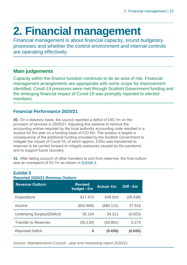# <span id="page-14-0"></span>**2. Financial management**

Financial management is about financial capacity, sound budgetary processes and whether the control environment and internal controls are operating effectively.

#### **Main judgements**

Capacity within the finance function continues to be an area of risk. Financial management arrangements are appropriate with some scope for improvement identified. Covid-19 pressures were met through Scottish Government funding and the emerging financial impact of Covid-19 was promptly reported to elected members.

#### **Financial Performance 2020/21**

**40.** On a statutory basis, the council reported a deficit of £45.1m on the provision of services in 2020/21. Adjusting this balance to remove the accounting entries required by the local authority accounting code resulted in a surplus for the year on a funding basis of £33.9m. The surplus is largely a consequence of the additional funding provided by the Scottish Government to mitigate the impact of Covid-19, of which approx. £30m was transferred to reserves to be carried forward to mitigate pressures caused by the pandemic and to support future recovery.

**41.** After taking account of other transfers to and from reserves, the final outturn was an overspend of £0.7m as shown in [Exhibit 3.](#page-14-1)

| <b>Reported 2020/21 Revenue Outturn</b> |                               |                  |           |  |  |
|-----------------------------------------|-------------------------------|------------------|-----------|--|--|
| <b>Revenue Outturn</b>                  | <b>Revised</b><br>budget - £m | <b>Actual-Em</b> | Diff - £m |  |  |
| <b>Expenditure</b>                      | 617.472                       | 645.910          | (28.438)  |  |  |
| Income                                  | (652.606)                     | (680.121)        | 27.515    |  |  |
| <b>Underlying Surplus/(Deficit)</b>     | 35.134                        | 34.211           | (0.923)   |  |  |
| <b>Transfer to Reserves</b>             | (35.134)                      | (34.861)         | 0.273     |  |  |
| <b>Reported Deficit</b>                 | 0                             | (0.650)          | (0.650)   |  |  |

### <span id="page-14-1"></span>**Exhibit 3**

Source: Aberdeenshire Council - year end monitoring report 2020/21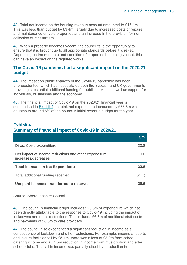**42.** Total net income on the housing revenue account amounted to £16.1m. This was less than budget by £3.4m, largely due to increased costs of repairs and maintenance on void properties and an increase in the provision for noncollection of rent arrears.

**43.** When a property becomes vacant, the council take the opportunity to ensure that it is brought up to all appropriate standards before it is re-let. Depending on the numbers and condition of properties becoming vacant, this can have an impact on the required works.

#### **The Covid-19 pandemic had a significant impact on the 2020/21 budget**

**44.** The impact on public finances of the Covid-19 pandemic has been unprecedented, which has necessitated both the Scottish and UK governments providing substantial additional funding for public services as well as support for individuals, businesses and the economy.

**45.** The financial impact of Covid-19 on the 2020/21 financial year is summarised in [Exhibit 4.](#page-17-0) In total, net expenditure increased by £33.8m which equates to around 6% of the council's initial revenue budget for the year.

|                                                                              | £m     |
|------------------------------------------------------------------------------|--------|
| Direct Covid expenditure                                                     | 23.8   |
| Net impact of income reductions and other expenditure<br>increases/decreases | 10.0   |
| <b>Total increase in Net Expenditure</b>                                     | 33.8   |
| Total additional funding received                                            | (64.4) |
| Unspent balances transferred to reserves                                     | 30.6   |

#### **Exhibit 4 Summary of financial impact of Covid-19 in 2020/21**

#### Source: Aberdeenshire Council

**46.** The council's financial ledger includes £23.8m of expenditure which has been directly attributable to the response to Covid-19 including the impact of lockdowns and other restrictions. This includes £6.8m of additional staff costs and payments of £8.3m to care providers.

**47.** The council also experienced a significant reduction in income as a consequence of lockdown and other restrictions. For example, income at sports and leisure facilities fell by £5.1m, there was a loss of £3.9m from school catering income and a £1.5m reduction in income from music tuition and after school clubs. This fall in income was partially offset by a reduction in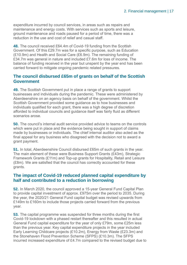expenditure incurred by council services, in areas such as repairs and maintenance and energy costs. With services such as sports and leisure, ground maintenance and roads paused for a period of time, there was a reduction in the use and cost of relief and casual staff.

**48.** The council received £64.4m of Covid-19 funding from the Scottish Government. Of this £29.7m was for a specific purpose, such as Education (£10.9m) and Health and Social Care (£6.9m). The remaining funding of £34.7m was general in nature and included £7.6m for loss of income. The balance of funding received in the year but unspent by the year end has been carried forward to mitigate ongoing pandemic related pressures.

#### **The council disbursed £65m of grants on behalf of the Scottish Government**

**49.** The Scottish Government put in place a range of grants to support businesses and individuals during the pandemic. These were administered by Aberdeenshire on an agency basis on behalf of the government. Whilst the Scottish Government provided some guidance as to how businesses and individuals qualified for each grant, there was a high degree of discretion afforded to individual councils and guidance itself was fairly fluid as different scenarios arose.

**50.** The council's internal audit service provided advice to teams on the controls which were put in place and the evidence being sought in support of claims made by businesses or individuals. The chief internal auditor also acted as the final appeal for any business who disagreed with the decision not to award a grant payment.

**51.** In total, Aberdeenshire Council disbursed £65m of such grants in the year. The main element of these were Business Support Grants (£43m), Strategic Framework Grants (£11m) and Top-up grants for Hospitality, Retail and Leisure (£8m). We are satisfied that the council has correctly accounted for these grants.

#### **The impact of Covid-19 reduced planned capital expenditure by half and contributed to a reduction in borrowing**

**52.** In March 2020, the council approved a 15-year General Fund Capital Plan to provide capital investment of approx. £975m over the period to 2035. During the year, the 2020/21 General Fund capital budget was revised upwards from £149m to £160m to include those projects carried forward from the previous year.

**53.** The capital programme was suspended for three months during the first Covid-19 lockdown with a phased restart thereafter and this resulted in actual General Fund capital expenditure for the year of only £79m, some £25m less than the previous year. Key capital expenditure projects in the year included Early Learning Childcare projects (£10.2m), Energy from Waste (£23.3m) and the Stonehaven Flood Prevention Scheme (SFPS) (£10.3m). The SFPS incurred increased expenditure of £4.7m compared to the revised budget due to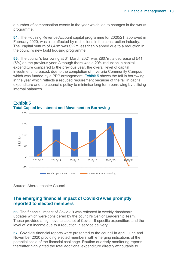a number of compensation events in the year which led to changes in the works programme.

**54.** The Housing Revenue Account capital programme for 2020/21, approved in February 2020, was also affected by restrictions in the construction industry. The capital outturn of £43m was £22m less than planned due to a reduction in the council's new build housing programme.

**55.** The council's borrowing at 31 March 2021 was £807m, a decrease of £41m (5%) on the previous year. Although there was a 20% reduction in capital expenditure compared to the previous year, the overall level of capital investment increased, due to the completion of Inverurie Community Campus which was funded by a PPP arrangement. [Exhibit 5](#page-17-0) shows the fall in borrowing in the year which reflects a reduced requirement because of the fall in capital expenditure and the council's policy to minimise long term borrowing by utilising internal balances.



#### <span id="page-17-0"></span>**Exhibit 5 Total Capital Investment and Movement on Borrowing**

Source: Aberdeenshire Council

#### **The emerging financial impact of Covid-19 was promptly reported to elected members**

**56.** The financial impact of Covid-19 was reflected in weekly dashboard updates which were considered by the council's Senior Leadership Team. These provided a high level snapshot of Covid-19 specific expenditure and the level of lost income due to a reduction in service delivery.

**57.** Covid-19 financial reports were presented to the council in April, June and November 2020 providing elected members with emerging indications of the potential scale of the financial challenge. Routine quarterly monitoring reports thereafter highlighted the total additional expenditure directly attributable to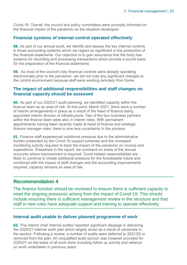Covid-19. Overall, the council and policy committees were promptly informed on the financial impact of the pandemic as the situation developed.

#### **Financial systems of internal control operated effectively**

**58.** As part of our annual audit, we identify and assess the key internal controls in those accounting systems which we regard as significant in the production of the financial statements. Our objective is to gain assurance that the body has systems for recording and processing transactions which provide a sound basis for the preparation of the financial statements.

**59.** As most of the council's key financial controls were already operating electronically prior to the pandemic, we did not note any significant changes to the control environment because staff were working remotely from home.

#### **The impact of additional responsibilities and staff changes on financial capacity should be assessed**

**60.** As part of our 2020/21 audit planning, we identified capacity within the finance team as an area of risk. At that point, March 2021, there were a number of interim arrangements in place as a result of the head of finance being appointed interim director of infrastructure. Two of the four business partners within the finance team were also in interim roles. With permanent appointments having been recently made at head of finance and strategic finance manager roles, there is now less uncertainty in the process.

**61.** Finance staff experienced additional pressure due to the administrative burden presented by the Covid-19 support schemes and the increased monitoring activity required to track the impact of the pandemic on income and expenditure. Elsewhere in the report, we comment on areas of the annual accounts where improvement is required. Covid related responsibilities are likely to continue to create additional pressure for the foreseeable future and combined with the impact of staff changes and the accounting improvements required, capacity remains an area of risk.

#### **Recommendation 4**

The finance function should be reviewed to ensure there is sufficient capacity to meet the ongoing pressures arising from the impact of Covid-19. This should include ensuring there is sufficient management review in the structure and that staff in new roles have adequate support and training to operate effectively.

#### **Internal audit unable to deliver planned programme of work**

**62.** The interim chief internal auditor reported significant slippage in delivering the 2020/21 internal audit plan which largely arose as a result of vacancies in the section. Following a review, a number of audits were deferred to 2021/22 or removed from the plan. An unqualified audit opinion was however provided for 2020/21 on the basis of all work done including follow up activity and reliance on work undertaken in previous years.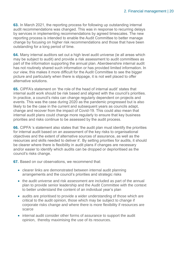**63.** In March 2021, the reporting process for following up outstanding internal audit recommendations was changed. This was in response to recurring delays by services in implementing recommendations by agreed timescales. The new reporting process is intended to enable the Audit Committee to better manage change by focusing on higher risk recommendations and those that have been outstanding for a long period of time.

**64.** Many internal auditors set out a high level audit universe (ie all areas which may be subject to audit) and provide a risk assessment to audit committees as part of the information supporting the annual plan. Aberdeenshire internal audit has not routinely shared such information or has provided limited information. In our view, this makes it more difficult for the Audit Committee to see the bigger picture and particularly when there is slippage, it is not well placed to offer alternative solutions.

**65.** CIPFA's statement on 'the role of the head of internal audit' states that internal audit work should be risk based and aligned with the council's priorities. In practice, a council's risks can change regularly dependent on projects and events. This was the case during 2020 as the pandemic progressed but is also likely to be the case in the current and subsequent years as councils adapt, change and recover from the impact of Covid-19. This could also mean that internal audit plans could change more regularly to ensure that key business priorities and risks continue to be assessed by the audit process.

**66.** CIPFA 's statement also states that 'the audit plan must identify the priorities for internal audit based on an assessment of the key risks to organisational objectives and the extent of alternative sources of assurance, as well as the resources and skills needed to deliver it'. By setting priorities for audits, it should be clearer where there is flexibility in audit plans if changes are necessary and/or easier to identify which audits can be dropped or deprioritised as the council's risks change.

**67.** Based on our observations, we recommend that:

- clearer links are demonstrated between internal audit planning arrangements and the council's priorities and strategic risks
- the audit universe and risk assessment are included as part of the annual plan to provide senior leadership and the Audit Committee with the context to better understand the content of an individual year's plan
- audits are prioritised to provide a wider understanding of those which are critical to the audit opinion, those which may be subject to change if corporate risks change and where there is more flexibility if resources are scarce
- internal audit consider other forms of assurance to support the audit opinion, thereby maximising the use of its resources.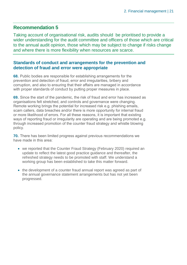#### **Recommendation 5**

Taking account of organisational risk, audits should be prioritised to provide a wider understanding for the audit committee and officers of those which are critical to the annual audit opinion, those which may be subject to change if risks change and where there is more flexibility when resources are scarce.

#### **Standards of conduct and arrangements for the prevention and detection of fraud and error were appropriate**

**68.** Public bodies are responsible for establishing arrangements for the prevention and detection of fraud, error and irregularities, bribery and corruption, and also to ensuring that their affairs are managed in accordance with proper standards of conduct by putting proper measures in place.

**69.** Since the start of the pandemic, the risk of fraud and error has increased as organisations felt stretched, and controls and governance were changing. Remote working brings the potential for increased risk e.g. phishing emails, scam callers, data breaches and/or there is more opportunity for internal fraud or more likelihood of errors. For all these reasons, it is important that existing ways of reporting fraud or irregularity are operating and are being promoted e.g. through increased promotion of the counter fraud strategy and whistle blowing policy.

**70.** There has been limited progress against previous recommendations we have made in this area:

- we reported that the Counter Fraud Strategy (February 2020) required an update to reflect the latest good practice guidance and thereafter, the refreshed strategy needs to be promoted with staff. We understand a working group has been established to take this matter forward.
- the development of a counter fraud annual report was agreed as part of the annual governance statement arrangements but has not yet been progressed.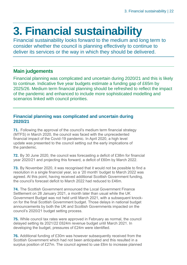## <span id="page-21-0"></span>**3. Financial sustainability**

Financial sustainability looks forward to the medium and long term to consider whether the council is planning effectively to continue to deliver its services or the way in which they should be delivered.

#### **Main judgements**

Financial planning was complicated and uncertain during 2020/21 and this is likely to continue. Indicative five year budgets estimate a funding gap of £65m by 2025/26. Medium term financial planning should be refreshed to reflect the impact of the pandemic and enhanced to include more sophisticated modelling and scenarios linked with council priorities.

#### **Financial planning was complicated and uncertain during 2020/21**

**71.** Following the approval of the council's medium term financial strategy (MTFS) in March 2020, the council was faced with the unprecedented financial impact of the Covid-19 pandemic. In April 2020, a high level update was presented to the council setting out the early implications of the pandemic.

**72.** By 30 June 2020, the council was forecasting a deficit of £38m for financial year 2020/21 and projecting this forward, a deficit of £60m by March 2022.

**73.** By November 2020, it was recognised that it would not be possible to find a resolution in a single financial year, so a '20 month' budget to March 2022 was agreed. At this point, having received additional Scottish Government funding, the council's forecast deficit to March 2022 had reduced to £46m.

**74.** The Scottish Government announced the Local Government Finance Settlement on 28 January 2021, a month later than usual while the UK Government Budget was not held until March 2021, with a subsequent knockon for the final Scottish Government budget. Those delays in national budget announcements by both the UK and Scottish Governments impacted on the council's 2020/21 budget setting process.

**75.** While council tax rates were approved in February as normal, the council delayed setting its 2021/22 £624m revenue budget until March 2021. In developing the budget, pressures of £24m were identified.

**76.** Additional funding of £30m was however subsequently received from the Scottish Government which had not been anticipated and this resulted in a surplus position of £27m. The council agreed to use £6m to increase planned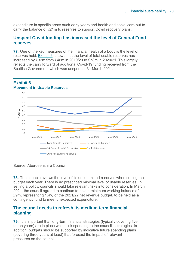expenditure in specific areas such early years and health and social care but to carry the balance of £21m to reserves to support Covid recovery plans.

#### **Unspent Covid funding has increased the level of General Fund reserves**

**77.** One of the key measures of the financial health of a body is the level of reserves held. [Exhibit 6](#page-22-0) shows that the level of total usable reserves has increased by £32m from £46m in 2019/20 to £78m in 2020/21. This largely reflects the carry forward of additional Covid-19 funding received from the Scottish Government which was unspent at 31 March 2021.



### <span id="page-22-0"></span>**Exhibit 6**

Source: Aberdeenshire Council

**78.** The council reviews the level of its uncommitted reserves when setting the budget each year. There is no prescribed minimal level of usable reserves. In setting a policy, councils should take relevant risks into consideration. In March 2021, the council agreed to continue to hold a minimum working balance of £9m, representing 1.4% of the 2021/22 net revenue budget, to be held as a contingency fund to meet unexpected expenditure.

#### **The council needs to refresh its medium term financial planning**

**79.** It is important that long-term financial strategies (typically covering five to ten years) are in place which link spending to the council's strategies. In addition, budgets should be supported by indicative future spending plans (covering three years at least) that forecast the impact of relevant pressures on the council.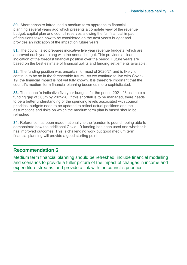**80.** Aberdeenshire introduced a medium term approach to financial planning several years ago which presents a complete view of the revenue budget, capital plan and council reserves allowing the full financial impact of decisions taken now to be considered on the next year's budget and provides an indication of the impact on future years.

**81.** The council also prepares indicative five year revenue budgets, which are approved each year along with the annual budget. This provides a clear indication of the forecast financial position over the period. Future years are based on the best estimate of financial uplifts and funding settlements available.

**82.** The funding position was uncertain for most of 2020/21 and is likely to continue to be so in the foreseeable future. As we continue to live with Covid-19, the financial impact is not yet fully known. It is therefore important that the council's medium term financial planning becomes more sophisticated.

**83.** The council's indicative five year budgets for the period 2021-26 estimate a funding gap of £65m by 2025/26. If this shortfall is to be managed, there needs to be a better understanding of the spending levels associated with council priorities, budgets need to be updated to reflect actual positions and the assumptions and risks on which the medium term plan is based should be refreshed.

**84.** Reference has been made nationally to the 'pandemic pound', being able to demonstrate how the additional Covid-19 funding has been used and whether it has improved outcomes. This is challenging work but good medium term financial planning will provide a good starting point.

#### **Recommendation 6**

Medium term financial planning should be refreshed, include financial modelling and scenarios to provide a fuller picture of the impact of changes in income and expenditure streams, and provide a link with the council's priorities.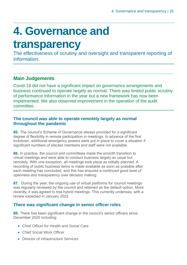# <span id="page-24-0"></span>**4. Governance and**

### **transparency**

The effectiveness of scrutiny and oversight and transparent reporting of **information** 

### **Main Judgements**

Covid-19 did not have a significant impact on governance arrangements and business continued to operate largely as normal. There was limited public scrutiny of performance information in the year but a new framework has now been implemented. We also observed improvement in the operation of the audit committee.

#### **The council was able to operate remotely largely as normal throughout the pandemic**

**85.** The council's Scheme of Governance always provided for a significant degree of flexibility in remote participation in meetings. In advance of the first lockdown, additional emergency powers were put in place to cover a situation if significant numbers of elected members and staff were not available.

**86.** In practice, the council and committees made the smooth transition to virtual meetings and were able to conduct business largely as usual but remotely. With one exception, all meetings took place as initially planned. A recording of public business items is made available as soon as possible after each meeting has concluded, and this has ensured a continued good level of openness and transparency over decision making.

**87.** During the year, the ongoing use of virtual platforms for council meetings was regularly reviewed by the council and retained as the default option. More recently, it was agreed to trial hybrid meetings. This currently underway, with a review expected in January 2022.

#### **There was significant change in senior officer roles**

**88.** There has been significant change in the council's senior officers since December 2020 including:

- Chief Officer for Health and Social Care
- Chief Social Work Officer
- Director of Infrastructure Services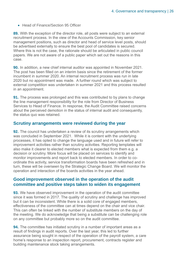• Head of Finance/Section 95 Officer

**89.** With the exception of the director role, all posts were subject to an external recruitment process. In the view of the Accounts Commission, key senior management positions, such as director and head of service level posts, should be advertised externally to ensure the best pool of candidates is secured. Where this is not the case, the rationale should be articulated in public council papers. We are not aware of a public paper which set out the reasons in this case.

**90.** In addition, a new chief internal auditor was appointed in November 2021. The post has been filled on an interim basis since the retirement of the former incumbent in summer 2020. An internal recruitment process was run in late 2020 but no appointment was made. A further round which was subject to external competition was undertaken in summer 2021 and this process resulted in an appointment.

**91.** The process was prolonged and this was contributed to by plans to change the line management responsibility for the role from Director of Business Services to Head of Finance. In response, the Audit Committee raised concerns about the perceived demotion in the status of internal audit and consequently, the status quo was retained.

#### **Scrutiny arrangements were reviewed during the year**

**92.** The council has undertaken a review of its scrutiny arrangements which was concluded in September 2021. While it is content with the underlying processes, it has opted to change the language used and in future will refer to improvement activities rather than scrutiny activities. Reporting templates will also make it clearer to elected members what is expected from them e.g. a decision or scrutiny. More focus will be placed on services to identify and monitor improvements and report back to elected members. In order to coordinate this activity, service transformation boards have been refreshed and in turn, these will be overseen by the Strategic Change Board. We will monitor the operation and interaction of the boards activities in the year ahead.

#### **Good improvement observed in the operation of the audit committee and positive steps taken to widen its engagement**

**93.** We have observed improvement in the operation of the audit committee since it was formed in 2017. The quality of scrutiny and challenge has improved but it can be inconsistent. While there is a solid core of engaged members, effectiveness of the committee can at times depend on the chair and vice chair. This can often be linked with the number of substitute members on the day of the meeting. We do acknowledge that being a substitute can be challenging role on any committee but probably more so on the audit committee.

**94.** The committee has initiated scrutiny in a number of important areas as a result of findings in audit reports. Over the last year, this led to further assurance being sought in respect of the operation of the payroll system, a care home's response to an inspection report, procurement, contracts register and building maintenance stock taking arrangements.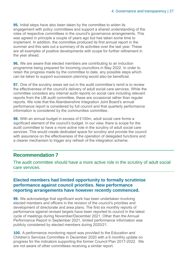**95.** Initial steps have also been taken by the committee to widen its engagement with policy committees and support a shared understanding of the roles of respective committees in the council's governance arrangements. This was agreed in principle a couple of years ago but has taken some time to implement. In addition, the committee produced its first annual report in the summer and this sets out a summary of its activities over the last year. These are all examples of positive developments with scope for further refinement in the year ahead.

**96.** We are aware that elected members are contributing to an induction programme being prepared for incoming councillors in May 2022. In order to retain the progress made by the committee to date, any possible steps which can be taken to support succession planning would also be beneficial.

**97.** One of the scrutiny areas set out in the audit committee's remit is to review the effectiveness of the council's delivery of adult social care services. While the committee considers any internal audit reports on social care including relevant reports from the IJB audit committee, these are occasional rather than regular reports. We note that the Aberdeenshire Integration Joint Board's annual performance report is considered by full council and that quarterly performance information is considered by the communities committee.

**98.** With an annual budget in excess of £100m, adult social care forms a significant element of the council's budget. In our view, there is scope for the audit committee to have a more active role in the scrutiny of adult social care services. This would create dedicated space for scrutiny and provide the council with assurance on the effectiveness of the operation of delegated functions and a clearer mechanism to trigger any refresh of the integration scheme.

#### **Recommendation 7**

The audit committee should have a more active role in the scrutiny of adult social care services.

#### **Elected members had limited opportunity to formally scrutinise performance against council priorities. New performance reporting arrangements have however recently commenced.**

**99.** We acknowledge that significant work has been undertaken involving elected members and officers in the revision of the council's priorities and development of directorate and area plans. The first six monthly reports of performance against revised targets have been reported to council in the latest cycle of meetings during November/December 2021. Other than the Annual Performance Report in September 2021, limited performance information was publicly considered by elected members during 2020/21.

**100.** A performance monitoring report was provided to the Education and Children's Services Committee in December 2020 with a 6 monthly update on progress for the indicators supporting the former Council Plan 2017-2022. We are not aware of other committees receiving a similar report.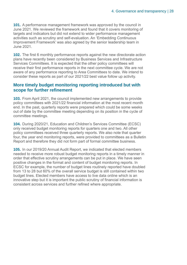**101.** A performance management framework was approved by the council in June 2021. We reviewed the framework and found that it covers monitoring of targets and indicators but did not extend to wider performance management activities such as scrutiny and self-evaluation. An 'Embedding Continuous Improvement Framework' was also agreed by the senior leadership team in June 2021.

**102.** The first 6 monthly performance reports against the new directorate action plans have recently been considered by Business Services and Infrastructure Services Committees. It is expected that the other policy committees will receive their first performance reports in the next committee cycle. We are not aware of any performance reporting to Area Committees to date. We intend to consider these reports as part of our 2021/22 best value follow up activity.

#### **More timely budget monitoring reporting introduced but with scope for further refinement**

**103.** From April 2021, the council implemented new arrangements to provide policy committees with 2021/22 financial information at the most recent month end. In the past, quarterly reports were prepared which could be some weeks out of date by the committee meeting depending on its position in the cycle of committee meetings.

**104.** During 2020/21, Education and Children's Services Committee (ECSC) only received budget monitoring reports for quarters one and two. All other policy committees received three quarterly reports. We also note that quarter four, the year end monitoring reports, were provided to committees as a Bulletin Report and therefore they did not form part of formal committee business.

**105.** In our 2019/20 Annual Audit Report, we indicated that elected members needed to receive more robust budget monitoring reports in a timely manner in order that effective scrutiny arrangements can be put in place. We have seen positive changes in the format and content of budget monitoring reports. In ECSC for example, the number of budget lines routinely reported have doubled from 13 to 28 but 60% of the overall service budget is still contained within two budget lines. Elected members have access to live data online which is an innovative step but it is important the public scrutiny of financial information is consistent across services and further refined where appropriate.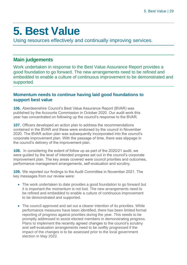## <span id="page-28-0"></span>**5. Best Value**

Using resources effectively and continually improving services.

#### **Main judgements**

Work undertaken in response to the Best Value Assurance Report provides a good foundation to go forward. The new arrangements need to be refined and embedded to enable a culture of continuous improvement to be demonstrated and supported.

#### **Momentum needs to continue having laid good foundations to support best value**

**106.** Aberdeenshire Council's Best Value Assurance Report (BVAR) was published by the Accounts Commission in October 2020. Our audit work this year has concentrated on following up the council's response to the BVAR.

**107.** Officers developed an action plan to address the recommendations contained in the BVAR and these were endorsed by the council in November 2020. The BVAR action plan was subsequently incorporated into the council's corporate improvement plan. With the passage of time, there was slippage in the council's delivery of the improvement plan.

**108.** In considering the extent of follow up as part of the 2020/21 audit, we were guided by the level of intended progress set out in the council's corporate improvement plan. The key areas covered were council priorities and outcomes, performance management arrangements, self-evaluation and scrutiny.

**109.** We reported our findings to the Audit Committee in November 2021. The key messages from our review were:

- The work undertaken to date provides a good foundation to go forward but it is important the momentum is not lost. The new arrangements need to be refined and embedded to enable a culture of continuous improvement to be demonstrated and supported.
- The council approved and set out a clearer intention of its priorities. While performance measures have been identified, there has been limited formal reporting of progress against priorities during the year. This needs to be promptly addressed to assist elected members in demonstrating progress. Plans to implement the recently agreed changes to the council's scrutiny and self-evaluation arrangements need to be swiftly progressed if the impact of the changes is to be assessed prior to the local government election in May 2022.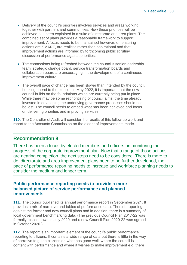- Delivery of the council's priorities involves services and areas working together with partners and communities. How these priorities will be achieved has been explained in a suite of directorate and area plans. The combined set of plans provides a reasonable framework to support improvement. A focus needs to be maintained however, on ensuring actions are SMART, are realistic rather than aspirational and that improvement actions are informed by forthcoming public scrutiny discussion of performance against priorities.
- The connections being refreshed between the council's senior leadership team, strategic change board, service transformation boards and collaboration board are encouraging in the development of a continuous improvement culture.
- The overall pace of change has been slower than intended by the council. Looking ahead to the election in May 2022, it is important that the new council builds on the foundations which are currently being put in place. While there may be some reprioritising of council aims, the time already invested in developing the underlying governance processes should not be lost. The council needs to embed what has been achieved and focus on delivering priorities and improving services.

**110.** The Controller of Audit will consider the results of this follow up work and report to the Accounts Commission on the extent of improvements made.

#### **Recommendation 8**

There has been a focus by elected members and officers on monitoring the progress of the corporate improvement plan. Now that a range of those actions are nearing completion, the next steps need to be considered. There is more to do, directorate and area improvement plans need to be further developed, the pace of performance reporting needs to increase and workforce planning needs to consider the medium and longer term.

#### **Public performance reporting needs to provide a more balanced picture of service performance and planned improvements**

**111.** The council published its annual performance report in September 2021. It provides a mix of narrative and tables of performance data. There is reporting against the former and new council plans and in addition, there is a summary of local government benchmarking data. (The previous Council Plan 2017-22 was formally closed down in July 2020 and a new Council Plan 2020-22 was agreed in October 2020.)

**112.** The report is an important element of the council's public performance reporting to citizens. It contains a wide range of data but there is little in the way of narrative to guide citizens on what has gone well, where the council is content with performance and where it wishes to make improvement e.g. there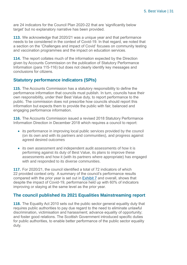are 24 indicators for the Council Plan 2020-22 that are 'significantly below target' but no explanatory narrative has been provided.

**113.** We acknowledge that 2020/21 was a unique year and that performance needs to be considered in the context of Covid-19. In that regard, we noted that a section on the 'Challenges and impact of Covid' focuses on community testing and vaccination programmes and the impact on education services.

**114.** The report collates much of the information expected by the Direction given by Accounts Commission on the publication of Statutory Performance Information (para 115-116) but does not clearly identify key messages and conclusions for citizens.

#### **Statutory performance indicators (SPIs)**

**115.** The Accounts Commission has a statutory responsibility to define the performance information that councils must publish. In turn, councils have their own responsibility, under their Best Value duty, to report performance to the public. The commission does not prescribe how councils should report this information but expects them to provide the public with fair, balanced and engaging performance information.

**116.** The Accounts Commission issued a revised 2018 Statutory Performance Information Direction in December 2018 which requires a council to report:

- its performance in improving local public services provided by the council (on its own and with its partners and communities), and progress against agreed desired outcomes
- its own assessment and independent audit assessments of how it is performing against its duty of Best Value, its plans to improve these assessments and how it (with its partners where appropriate) has engaged with and responded to its diverse communities.

**117.** For 2020/21, the council identified a total of 72 indicators of which 22 provided context only. A summary of the council's performance results compared with the prior year is set out in Exhibit 7 and overall, shows that despite the impact of Covid-19, performance held up with 60% of indicators improving or staying at the same level as the prior year.

#### **The council published its 2021 Equalities Mainstreaming report**

**118.** The Equality Act 2010 sets out the public sector general equality duty that requires public authorities to pay due regard to the need to eliminate unlawful discrimination, victimisation and harassment; advance equality of opportunity; and foster good relations. The Scottish Government introduced specific duties for public authorities, to enable better performance of the public sector equality duty.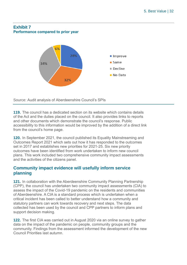#### **Exhibit 7 Performance compared to prior year**



Source: Audit analysis of Aberdeenshire Council's SPIs

**119.** The council has a dedicated section on its website which contains details of the Act and the duties placed on the council. It also provides links to reports and other documents which demonstrate the council's response. Public accessibility to this information would be improved by the addition of a direct link from the council's home page.

**120.** In September 2021, the council published its Equality Mainstreaming and Outcomes Report 2021 which sets out how it has responded to the outcomes set in 2017 and establishes new priorities for 2021-25. Six new priority outcomes have been identified from work undertaken to inform new council plans. This work included two comprehensive community impact assessments and the activities of the citizens panel.

#### **Community impact evidence will usefully inform service planning**

**121.** In collaboration with the Aberdeenshire Community Planning Partnership (CPP), the council has undertaken two community impact assessments (CIA) to assess the impact of the Covid-19 pandemic on the residents and communities of Aberdeenshire. A CIA is a standard process which is undertaken when a critical incident has been called to better understand how a community and statutory partners can work towards recovery and next steps. The data collected has been used by the council and CPP partners to inform plans and support decision making.

**122.** The first CIA was carried out in August 2020 via an online survey to gather data on the impact of the pandemic on people, community groups and the community. Findings from the assessment informed the development of the new Council Priorities last autumn.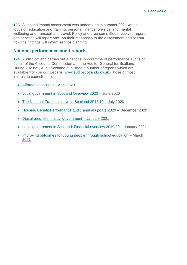**123.** A second impact assessment was undertaken in summer 2021 with a focus on education and training, personal finance, physical and mental wellbeing and transport and travel. Policy and area committees received reports and services will report back on their responses to the assessment and set out how the findings will inform service planning.

#### **National performance audit reports**

**124.** Audit Scotland carries out a national programme of performance audits on behalf of the Accounts Commission and the Auditor General for Scotland. During 2020/21, Audit Scotland published a number of reports which are available from on our website: [www.audit-scotland.gov.uk.](http://www.audit-scotland.gov.uk./) Those of most interest to councils include:

- [Affordable housing](https://www.audit-scotland.gov.uk/report/affordable-housing) April 2020
- [Local government in Scotland Overview 2020](https://www.audit-scotland.gov.uk/report/local-government-in-scotland-overview-2020) June 2020
- [The National Fraud Initiative in Scotland 2018/19](https://www.audit-scotland.gov.uk/report/the-national-fraud-initiative-in-scotland-201819) July 2020
- [Housing Benefit Performance audit: annual update 2020 –](https://www.audit-scotland.gov.uk/publications/housing-benefit-performance-audit-annual-update-2020) December 2020
- [Digital progress in local government](https://www.audit-scotland.gov.uk/report/digital-progress-in-local-government) January 2021
- [Local government in Scotland: Financial overview 2019/20](https://www.audit-scotland.gov.uk/report/local-government-in-scotland-financial-overview-201920) January 2021
- [Improving outcomes for young people through school education](https://www.audit-scotland.gov.uk/report/improving-outcomes-for-young-people-through-school-education) March 2021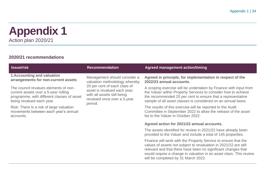

#### **2020/21 recommendations**

<span id="page-33-0"></span>

| <b>Issue/risk</b>                                                                                                                                        | <b>Recommendation</b>                                                                                                                 | <b>Agreed management action/timing</b>                                                                                                                                                                                                                                                                           |
|----------------------------------------------------------------------------------------------------------------------------------------------------------|---------------------------------------------------------------------------------------------------------------------------------------|------------------------------------------------------------------------------------------------------------------------------------------------------------------------------------------------------------------------------------------------------------------------------------------------------------------|
| <b>1.Accounting and valuation</b><br>arrangements for non-current assets                                                                                 | Management should consider a<br>valuation methodology whereby                                                                         | Agreed in principle, for implementation in respect of the<br>2022/23 annual accounts.                                                                                                                                                                                                                            |
| The council revalues elements of non-<br>current assets over a 5-year rolling<br>programme, with different classes of asset<br>being revalued each year. | 20 per cent of each class of<br>asset is revalued each year,<br>with all assets still being<br>revalued once over a 5-year<br>period. | A scoping exercise will be undertaken by Finance with input from<br>the Valuer within Property Services to consider how to achieve<br>the recommended 20 per cent to ensure that a representative<br>sample of all asset classes is considered on an annual basis.                                               |
| Risk: There is a risk of large valuation<br>movements between each year's annual<br>accounts.                                                            |                                                                                                                                       | The results of this exercise will be reported to the Audit<br>Committee in September 2022 to allow the release of the asset<br>list to the Valuer in October 2022.                                                                                                                                               |
|                                                                                                                                                          |                                                                                                                                       | Agreed action for 2021/22 annual accounts.                                                                                                                                                                                                                                                                       |
|                                                                                                                                                          |                                                                                                                                       | The assets identified for review in 2021/22 have already been<br>provided to the Valuer and include a total of 145 properties.                                                                                                                                                                                   |
|                                                                                                                                                          |                                                                                                                                       | Finance will work with the Property Service to ensure that the<br>values of assets not subject to revaluation in 2021/22 are still<br>relevant and that there have been no significant changes that<br>would require a change in valuation in an asset class. This review<br>will be completed by 31 March 2022. |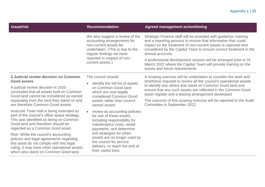| <b>Issue/risk</b>                                                                                                                                                                                                    | <b>Recommendation</b>                                                                                                                                  | <b>Agreed management action/timing</b>                                                                                                                                                                                                                                                                                  |  |
|----------------------------------------------------------------------------------------------------------------------------------------------------------------------------------------------------------------------|--------------------------------------------------------------------------------------------------------------------------------------------------------|-------------------------------------------------------------------------------------------------------------------------------------------------------------------------------------------------------------------------------------------------------------------------------------------------------------------------|--|
|                                                                                                                                                                                                                      | We also suggest a review of the<br>accounting arrangements for<br>non-current assets be<br>undertaken. (This is due to the<br>regular findings we have | Strategic Finance staff will be provided with guidance, training<br>and a reporting process to ensure that information that could<br>impact on the treatment of non-current assets is captured and<br>considered by the Capital Team to ensure correct treatment in the<br>annual accounts.                             |  |
|                                                                                                                                                                                                                      | reported in respect of non-<br>current assets.)                                                                                                        | A professional development session will be arranged prior to 31<br>March 2022 where the Capital Team will provide training on the<br>issues and future requirements.                                                                                                                                                    |  |
| 2. Judicial review decision on Common<br><b>Good assets</b>                                                                                                                                                          | The council should:                                                                                                                                    | A scoping exercise will be undertaken to consider the work and<br>timeframe required to review all the council's operational assets<br>to identify any others that stand on Common Good land and<br>ensure that any such assets are reflected in the Common Good<br>asset register and a leasing arrangement developed. |  |
| A judicial review decision in 2020<br>concluded that all assets built on Common<br>Good land cannot be considered as owned                                                                                           | identify the full list of assets<br>on Common Good land<br>which are now legally<br>considered Common Good                                             |                                                                                                                                                                                                                                                                                                                         |  |
| separately from the land they stand on and<br>are therefore Common Good assets.                                                                                                                                      | assets rather than council<br>owned assets                                                                                                             | The outcome of this scoping exercise will be reported to the Audit<br>Committee in September 2022.                                                                                                                                                                                                                      |  |
| Inverurie Town Hall is being extended as<br>part of the council's office space strategy.<br>This was identified as being on Common<br>Good land and therefore should be<br>regarded as a Common Good asset.          | review its accounting policies<br>for use of these assets.<br>including responsibility for<br>maintenance costs, rental<br>payments; and determine     |                                                                                                                                                                                                                                                                                                                         |  |
| Risk: While the council's accounting<br>policies and legal agreements regarding<br>this asset do not comply with this legal<br>ruling, it may have other operational assets<br>which also stand on Common Good land. | exit strategies for when<br>assets are no longer used by<br>the council for service<br>delivery, or reach the end of<br>their useful lives.            |                                                                                                                                                                                                                                                                                                                         |  |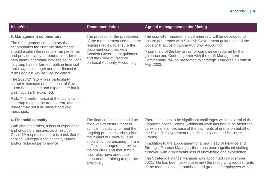#### **Issue/risk Recommendation Recommendation Agreed management action/timing**

#### **3. Management commentary**

The management commentary that accompanies the financial statements should explain the results in simple terms and provide clarity to readers in order to help them understand how the council and its group has performed, both in financial terms against budget and non-financial terms against key service indicators.

The 2020/21 'story' was particularly complex because of the impact of Covid-19 on both income and expenditure but it was not clearly explained.

Risk: The performance of the council and its group may not be transparent, and the reader may not fully understand key messages.

The process for the preparation of the management commentary requires review to ensure the document complies with Scottish Government guidance and the Code of Practice on Local Authority Accounting.

The council's management commentary will be developed to ensure adherence with Scottish Government guidance and the Code of Practice on Local Authority Accounting.

A summary of the key areas for compliance required by the guidance and Code, together with the draft Management Commentary, will be presented to Strategic Leadership Team in May 2022.

#### **4. Financial capacity**

With changing roles, a loss of experience and ongoing pressures as a result of Covid-19 responses, there is a risk that the service will experience capacity issues and/or reduced performance.

The finance function should be reviewed to ensure there is sufficient capacity to meet the ongoing pressures arising from the impact of Covid-19. This should include ensuring there is sufficient management review in the structure and that staff in new roles have adequate support and training to operate effectively.

There continues to be significant challenges within several of the Finance Service Teams. Additional work has had to be absorbed by existing staff because of the payments of grants on behalf of the Scottish Government (e.g., Self Isolation and Business Grants).

In addition to the appointment of a new Head of Finance and Strategic Finance Manager, there has been significant staffing turnover, with a significant loss of knowledge and experience.

The Strategic Finance Manager was appointed in November 2021. He has been tasked to review the resourcing requirements of the team, to include numbers and grades of employees within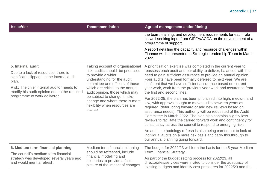| <b>Issue/risk</b>                                                                                             | <b>Recommendation</b>                                                                                                      | <b>Agreed management action/timing</b>                                                                                                                                                                                                                                                                                                                                                                                                                                |
|---------------------------------------------------------------------------------------------------------------|----------------------------------------------------------------------------------------------------------------------------|-----------------------------------------------------------------------------------------------------------------------------------------------------------------------------------------------------------------------------------------------------------------------------------------------------------------------------------------------------------------------------------------------------------------------------------------------------------------------|
|                                                                                                               |                                                                                                                            | the team, training, and development requirements for each role<br>as well seeking input from CIPFA/ACCA on the development of a<br>programme of support.                                                                                                                                                                                                                                                                                                              |
|                                                                                                               |                                                                                                                            | A report detailing the capacity and resource challenges within<br>Finance will be presented to Strategic Leadership Team in March<br>2022.                                                                                                                                                                                                                                                                                                                            |
| 5. Internal audit                                                                                             | Taking account of organisational                                                                                           | A prioritisation exercise was completed in the current year to                                                                                                                                                                                                                                                                                                                                                                                                        |
| Due to a lack of resources, there is<br>significant slippage in the internal audit<br>plan.                   | risk, audits should be prioritised<br>to provide a wider<br>understanding for the audit<br>committee and officers of those | reassess each audit and our ability to deliver, balanced with the<br>need to gain sufficient assurance to provide an annual opinion.<br>Four audits have been formally deferred to next year. We are<br>confident that we have sufficient assurance based on current                                                                                                                                                                                                  |
| Risk: The chief internal auditor needs to<br>modify his audit opinion due to the reduced                      | which are critical to the annual<br>audit opinion, those which may                                                         | year work, work from the previous year work and assurance from<br>the first and second lines.                                                                                                                                                                                                                                                                                                                                                                         |
| programme of work delivered.                                                                                  | be subject to change if risks<br>change and where there is more<br>flexibility when resources are<br>scarce.               | For 2022-25, the plan has been prioritised into high, medium and<br>low, with approval sought to move audits between years as<br>required (defer, bring forward or add new reviews based on<br>assurance needs). This authority will be requested of the Audit<br>Committee in March 2022. The plan also contains slightly less<br>reviews to facilitate the carried forward work and contingency for<br>consultancy across the council to respond to emerging risks. |
|                                                                                                               |                                                                                                                            | An audit methodology refresh is also being carried out to look at<br>individual audits on a more risk basis and carry this through to<br>our annual planning going forward.                                                                                                                                                                                                                                                                                           |
| 6. Medium term financial planning                                                                             | Medium term financial planning<br>should be refreshed, include                                                             | The budget for 2022/23 will form the basis for the 5-year Medium<br><b>Term Financial Strategy.</b>                                                                                                                                                                                                                                                                                                                                                                   |
| The council's medium term financial<br>strategy was developed several years ago<br>and would merit a refresh. | financial modelling and<br>scenarios to provide a fuller<br>picture of the impact of changes                               | As part of the budget setting process for 2022/23, all<br>directorates/services were invited to consider the adequacy of<br>existing budgets and identify cost pressures for 2022/23 and the                                                                                                                                                                                                                                                                          |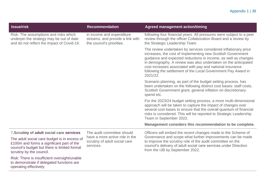| <b>Issue/risk</b>                                                                                                                                                     | <b>Recommendation</b>                                                                      | <b>Agreed management action/timing</b>                                                                                                                                                                                                                                                                                                                                                                       |
|-----------------------------------------------------------------------------------------------------------------------------------------------------------------------|--------------------------------------------------------------------------------------------|--------------------------------------------------------------------------------------------------------------------------------------------------------------------------------------------------------------------------------------------------------------------------------------------------------------------------------------------------------------------------------------------------------------|
| Risk: The assumptions and risks which<br>underpin the strategy may be out of date<br>and do not reflect the impact of Covid-19.                                       | in income and expenditure<br>streams, and provide a link with<br>the council's priorities. | following four financial years. All pressures were subject to a peer<br>review through the officer Collaboration Board and a review by<br>the Strategic Leadership Team.                                                                                                                                                                                                                                     |
|                                                                                                                                                                       |                                                                                            | The review undertaken by services considered inflationary price<br>increases, the cost of implementing new Scottish Government<br>guidance and expected reductions in income, as well as changes<br>in demography. A review was also undertaken on the anticipated<br>cost increases associated with pay and national insurance<br>following the settlement of the Local Government Pay Award in<br>2021/22. |
|                                                                                                                                                                       |                                                                                            | Scenario planning, as part of the budget setting process, has<br>been undertaken on the following distinct cost bases: staff costs,<br>Scottish Government grant, general inflation on discretionary<br>spend etc.                                                                                                                                                                                           |
|                                                                                                                                                                       |                                                                                            | For the 2023/24 budget setting process, a more multi-dimensional<br>approach will be taken to capture the impact of changes over<br>several cost bases to ensure that the overall quantum of financial<br>risks is considered. This will be reported to Strategic Leadership<br>Team in September 2022.                                                                                                      |
|                                                                                                                                                                       |                                                                                            | Management considers this recommendation to be complete.                                                                                                                                                                                                                                                                                                                                                     |
| 7. Scrutiny of adult social care services                                                                                                                             | The audit committee should                                                                 | Officers will embed the recent changes made to the Scheme of                                                                                                                                                                                                                                                                                                                                                 |
| The adult social care budget is in excess of<br>£100m and forms a significant part of the<br>council's budget but there is limited formal<br>scrutiny by the council. | have a more active role in the<br>scrutiny of adult social care<br>services.               | Governance and scope what further improvements can be made<br>to improve the scrutiny role of the audit committee on the<br>council's delivery of adult social care services under Direction<br>from the IJB by September 2022.                                                                                                                                                                              |
| Risk: There is insufficient oversight/unable<br>to demonstrate if delegated functions are<br>operating effectively.                                                   |                                                                                            |                                                                                                                                                                                                                                                                                                                                                                                                              |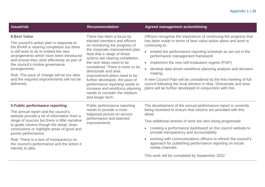| <b>Issue/risk</b>                                                                                                                                                                                                                                                                                                                                                                                          | <b>Recommendation</b>                                                                                                                                                                                                                                                                                                                                                                                                                                                             | <b>Agreed management action/timing</b>                                                                                                                                                                                                                                                                                                                                                                                                                                                                                                                                                       |
|------------------------------------------------------------------------------------------------------------------------------------------------------------------------------------------------------------------------------------------------------------------------------------------------------------------------------------------------------------------------------------------------------------|-----------------------------------------------------------------------------------------------------------------------------------------------------------------------------------------------------------------------------------------------------------------------------------------------------------------------------------------------------------------------------------------------------------------------------------------------------------------------------------|----------------------------------------------------------------------------------------------------------------------------------------------------------------------------------------------------------------------------------------------------------------------------------------------------------------------------------------------------------------------------------------------------------------------------------------------------------------------------------------------------------------------------------------------------------------------------------------------|
| <b>8.Best Value</b><br>The council's action plan in response to<br>the BVAR is nearing completion but there<br>is still work to do to embed the new<br>arrangements which have been introduced<br>and ensure they work effectively as part of<br>the council's routine governance<br>arrangements.<br>Risk: The pace of change will be too slow<br>and the required improvements will not be<br>delivered. | There has been a focus by<br>elected members and officers<br>on monitoring the progress of<br>the corporate improvement plan.<br>Now that a range of those<br>actions are nearing completion,<br>the next steps need to be<br>considered. There is more to do,<br>directorate and area<br>improvement plans need to be<br>further developed, the pace of<br>performance reporting needs to<br>increase and workforce planning<br>needs to consider the medium<br>and longer term. | Officers recognise the importance of continuing the progress that<br>has been made in terms of best value action plans and work is<br>continuing to:<br>embed the performance reporting schedule as set out in the<br>performance management framework<br>implement the new self-evaluation regime (PSIF)<br>develop data driven workforce planning analysis and decision<br>making.<br>A new Council Plan will be considered by the first meeting of full<br>council following the local election in May. Directorate and area<br>plans will be further developed in conjunction with this. |
| 9. Public performance reporting<br>The annual report and the council's<br>website provide a lot of information from a<br>range of sources but there is little narrative<br>to guide citizens though the detail, draw<br>conclusions or highlight areas of good and<br>poorer performance.<br>Risk: There is a lack of transparency on<br>the council's performance and the action it<br>intends to take.   | Public performance reporting<br>needs to provide a more<br>balanced picture on service<br>performance and planned<br>improvements.                                                                                                                                                                                                                                                                                                                                                | The development of the annual performance report is currently<br>being reviewed to ensure that citizens are provided with this<br>detail.<br>Two additional strands of work are also being progressed:<br>creating a performance dashboard on the council website to<br>provide transparency and accountability<br>working with communications officers to refresh the council's<br>approach for publishing performance reporting on social<br>media channels.                                                                                                                               |

This work will be completed by September 2022.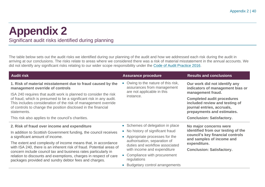### **Appendix 2**  Significant audit risks identified during planning

The table below sets out the audit risks we identified during our planning of the audit and how we addressed each risk during the audit in arriving at our conclusions. The risks relate to areas where we considered there was a risk of material misstatement in the annual accounts. We did not identify any significant risks relating to our wider scope responsibility under the [Code of Audit Practice 2016.](http://www.audit-scotland.gov.uk/report/code-of-audit-practice-2016)

<span id="page-39-0"></span>

| <b>Audit risk</b>                                                                                                                                                                                                    | <b>Assurance procedure</b>                                                                    | <b>Results and conclusions</b>                                                                                                  |
|----------------------------------------------------------------------------------------------------------------------------------------------------------------------------------------------------------------------|-----------------------------------------------------------------------------------------------|---------------------------------------------------------------------------------------------------------------------------------|
| 1. Risk of material misstatement due to fraud caused by the<br>management override of controls                                                                                                                       | Owing to the nature of this risk,<br>assurances from management<br>are not applicable in this | Our work did not identify any<br>indicators of management bias or                                                               |
| ISA 240 requires that audit work is planned to consider the risk                                                                                                                                                     | instance.                                                                                     | management fraud.                                                                                                               |
| of fraud, which is presumed to be a significant risk in any audit.<br>This includes consideration of the risk of management override<br>of controls to change the position disclosed in the financial<br>statements. |                                                                                               | <b>Completed audit procedures</b><br>included review and testing of<br>journal entries, accruals,<br>prepayments and estimates. |
| This risk also applies to the council's charities.                                                                                                                                                                   |                                                                                               | <b>Conclusion: Satisfactory.</b>                                                                                                |
| 2. Risk of fraud over income and expenditure                                                                                                                                                                         | • Schemes of delegation in place                                                              | No major concerns were                                                                                                          |
| In addition to Scottish Government funding, the council receives                                                                                                                                                     | • No history of significant fraud                                                             | identified from our testing of the                                                                                              |
| a significant amount of income.                                                                                                                                                                                      | • Appropriate processes for the                                                               | council's key financial controls<br>and samples of income and                                                                   |
| The extent and complexity of income means that, in accordance                                                                                                                                                        | authorisation, separation of<br>duties and workflow associated                                | expenditure.                                                                                                                    |
| with ISA 240, there is an inherent risk of fraud. Potential areas of<br>concern include council tax and business rates particularly in                                                                               | with income and expenditure                                                                   | <b>Conclusion: Satisfactory.</b>                                                                                                |
| relation to discounts and exemptions, charges in respect of care<br>packages provided and sundry debtor fees and charges.                                                                                            | Compliance with procurement<br>regulations                                                    |                                                                                                                                 |
|                                                                                                                                                                                                                      | <b>Budgetary control arrangements</b>                                                         |                                                                                                                                 |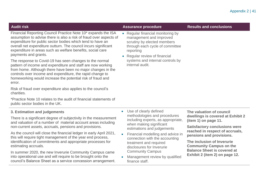| <b>Audit risk</b>                                                                                                                                                                                                                                                                                                                                          | <b>Assurance procedure</b>                                                                                                                                               | <b>Results and conclusions</b>                        |
|------------------------------------------------------------------------------------------------------------------------------------------------------------------------------------------------------------------------------------------------------------------------------------------------------------------------------------------------------------|--------------------------------------------------------------------------------------------------------------------------------------------------------------------------|-------------------------------------------------------|
| Financial Reporting Council Practice Note 10* expands the ISA<br>assumption to advise there is also a risk of fraud over aspects of<br>expenditure for public sector bodies which tend to have an<br>overall net expenditure outturn. The council incurs significant<br>expenditure in areas such as welfare benefits, social care<br>payments and grants. | Regular financial monitoring by<br>management and improved<br>scrutiny by elected members<br>through each cycle of committee<br>reporting<br>Regular review of financial |                                                       |
| The response to Covid-19 has seen changes to the normal<br>pattern of income and expenditure and staff are now working<br>from home. Although there have been no major changes in the<br>controls over income and expenditure, the rapid change to<br>homeworking would increase the potential risk of fraud and<br>error.                                 | systems and internal controls by<br>internal audit.                                                                                                                      |                                                       |
| Risk of fraud over expenditure also applies to the council's<br>charities.                                                                                                                                                                                                                                                                                 |                                                                                                                                                                          |                                                       |
| *Practice Note 10 relates to the audit of financial statements of<br>public sector bodies in the UK.                                                                                                                                                                                                                                                       |                                                                                                                                                                          |                                                       |
| 3. Estimation and judgements                                                                                                                                                                                                                                                                                                                               | Use of clearly defined                                                                                                                                                   | The valuation of council                              |
| There is a significant degree of subjectivity in the measurement<br>وممثلون المتماز وتمتمون والمستمرون والمشروبا ومنفس المترابط والموسيون والمتراكب والمستراحين المتورة                                                                                                                                                                                    | methodologies and procedures<br>including experts, as appropriate,                                                                                                       | dwellings is covered at Exh<br>$(item 1)$ on page 11. |

and valuation of a number of material account areas including non-current assets, accruals, pensions and provisions.

As the council will close the financial ledger in early April 2021, this will require tight management of the year end process, identification of commitments and appropriate processes for estimating accruals.

In summer 2020, the new Inverurie Community Campus came into operational use and will require to be brought onto the council's Balance Sheet as a service concession arrangement.

- when making significant estimations and judgements
- Financial modelling and advice in connection with the accounting treatment and required disclosures for Inverurie Community Campus
- Management review by qualified finance staff.

hibit 2 **(item 1) on page 11.**

**Satisfactory conclusions were reached in respect of accruals, pensions and provisions.**

**The inclusion of Inverurie Community Campus on the Balance Sheet is covered at Exhibit 2 (item 2) on page 12.**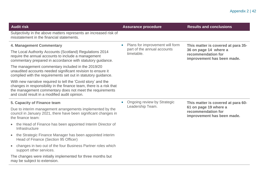| <b>Audit risk</b>                                                                                                                                                                                                                                 | <b>Assurance procedure</b>                   | <b>Results and conclusions</b>                                                                                  |
|---------------------------------------------------------------------------------------------------------------------------------------------------------------------------------------------------------------------------------------------------|----------------------------------------------|-----------------------------------------------------------------------------------------------------------------|
| Subjectivity in the above matters represents an increased risk of<br>misstatement in the financial statements.                                                                                                                                    |                                              |                                                                                                                 |
| 4. Management Commentary                                                                                                                                                                                                                          | Plans for improvement will form<br>$\bullet$ | This matter is covered at para 35-                                                                              |
| The Local Authority Accounts (Scotland) Regulations 2014<br>require the annual accounts to include a management<br>commentary prepared in accordance with statutory guidance.                                                                     | part of the annual accounts<br>timetable.    | 36 on page 14 where a<br>recommendation for<br>improvement has been made.                                       |
| The management commentary included in the 2019/20<br>unaudited accounts needed significant revision to ensure it<br>complied with the requirements set out in statutory guidance.                                                                 |                                              |                                                                                                                 |
| With new narrative required to tell the 'Covid story' and the<br>changes in responsibility in the finance team, there is a risk that<br>the management commentary does not meet the requirements<br>and could result in a modified audit opinion. |                                              |                                                                                                                 |
| 5. Capacity of Finance team                                                                                                                                                                                                                       | Ongoing review by Strategic                  | This matter is covered at para 60-<br>61 on page 19 where a<br>recommendation for<br>improvement has been made. |
| Due to interim management arrangements implemented by the<br>council in January 2021, there have been significant changes in<br>the finance team:                                                                                                 | Leadership Team.                             |                                                                                                                 |
| the Head of Finance has been appointed Interim Director of<br>Infrastructure                                                                                                                                                                      |                                              |                                                                                                                 |
| • the Strategic Finance Manager has been appointed interim<br>Head of Finance (Section 95 Officer)                                                                                                                                                |                                              |                                                                                                                 |
| changes in two out of the four Business Partner roles which<br>support other services.                                                                                                                                                            |                                              |                                                                                                                 |
| The changes were initially implemented for three months but<br>may be subject to extension.                                                                                                                                                       |                                              |                                                                                                                 |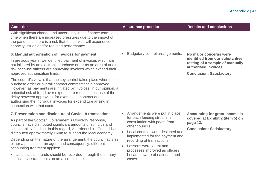| <b>Audit risk</b><br>With significant change and uncertainty in the finance team, at a<br>time when there are increased pressures due to the impact of<br>the pandemic, there is a risk that the service will experience<br>capacity issues and/or reduced performance.                                                                                                                                                                                                                                                                                                                                                                                                                                                          | <b>Assurance procedure</b>                                                                                                                                                                                                                                                                                                 | <b>Results and conclusions</b>                                                                                                                           |
|----------------------------------------------------------------------------------------------------------------------------------------------------------------------------------------------------------------------------------------------------------------------------------------------------------------------------------------------------------------------------------------------------------------------------------------------------------------------------------------------------------------------------------------------------------------------------------------------------------------------------------------------------------------------------------------------------------------------------------|----------------------------------------------------------------------------------------------------------------------------------------------------------------------------------------------------------------------------------------------------------------------------------------------------------------------------|----------------------------------------------------------------------------------------------------------------------------------------------------------|
| 6. Manual authorisation of invoices for payment<br>In previous years, we identified payment of invoices which are<br>not initiated by an electronic purchase order as an area of audit<br>risk because officers are approving invoices which exceed their<br>approved authorisation limits.<br>The council's view is that the key control takes place when the<br>purchase order or overall contract commitment is approved.<br>However, as payments are initiated by invoices, in our opinion, a<br>potential risk of fraud over expenditure remains because of the<br>delay between approving, for example, a contract and<br>authorising the individual invoices for expenditure arising in<br>connection with that contract. | Budgetary control arrangements.                                                                                                                                                                                                                                                                                            | No major concerns were<br>identified from our substantive<br>testing of a sample of manually<br>authorised invoices.<br><b>Conclusion: Satisfactory.</b> |
| 7. Presentation and disclosure of Covid-19 transactions<br>As part of the Scottish Government's Covid-19 response,<br>councils have distributed significant amounts of stimulus and<br>sustainability funding. In this regard, Aberdeenshire Council has<br>distributed approximately £60m to support the local economy.<br>Depending on the nature of the arrangement, the council acts as<br>either a principal or an agent and consequently, different<br>accounting treatment applies:<br>as principal – funds should be recorded through the primary<br>financial statements on an accruals basis                                                                                                                           | Arrangements were put in place<br>for each funding stream in<br>consultation with peers from<br>other councils<br>Local controls were designed and<br>implemented for the payment and<br>recording of transactions<br>Lessons were learnt and<br>processes improved as officers<br>became aware of national fraud<br>cases | Accounting for grant income is<br>covered at Exhibit 2 (item 5) on<br>page 13.<br><b>Conclusion: Satisfactory.</b>                                       |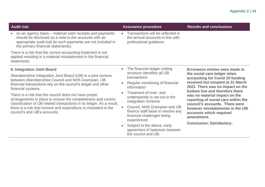| <b>Audit risk</b>                                                                                                                                                                                                                                                                                                                                                                                                                                                                                                   | <b>Assurance procedure</b>                                                                                        | <b>Results and conclusions</b>                                                                                                                                                  |  |
|---------------------------------------------------------------------------------------------------------------------------------------------------------------------------------------------------------------------------------------------------------------------------------------------------------------------------------------------------------------------------------------------------------------------------------------------------------------------------------------------------------------------|-------------------------------------------------------------------------------------------------------------------|---------------------------------------------------------------------------------------------------------------------------------------------------------------------------------|--|
| on an agency basis – material cash receipts and payments<br>should be disclosed as a note to the accounts with an<br>appropriate audit trail (ie such payments are not included in<br>the primary financial statements).                                                                                                                                                                                                                                                                                            | Transactions will be reflected in<br>the annual accounts in line with<br>professional guidance.                   |                                                                                                                                                                                 |  |
| There is a risk that the correct accounting treatment is not<br>applied resulting in a material misstatement in the financial<br>statements.                                                                                                                                                                                                                                                                                                                                                                        |                                                                                                                   |                                                                                                                                                                                 |  |
| 8. Integration Joint Board                                                                                                                                                                                                                                                                                                                                                                                                                                                                                          | The financial ledger coding<br>$\bullet$                                                                          | Erroneous entries were made in<br>the social care ledger when<br>accounting for Covid-19 funding                                                                                |  |
| Aberdeenshire Integration Joint Board (IJB) is a joint venture<br>between Aberdeenshire Council and NHS Grampian. IJB<br>financial transactions rely on the council's ledger and other<br>financial systems.<br>There is a risk that the council does not have proper<br>arrangements in place to ensure the completeness and correct<br>classification of IJB related transactions in its ledger. As a result,<br>there is a risk that income and expenditure is misstated in the<br>council's and IJB's accounts. | structure identifies all IJB<br>transactions                                                                      |                                                                                                                                                                                 |  |
|                                                                                                                                                                                                                                                                                                                                                                                                                                                                                                                     | Regular monitoring of financial<br>information                                                                    | received but unspent at 31 March<br>2021. There was no impact on the<br>bottom line and therefore there<br>was no material impact on the<br>reporting of social care within the |  |
|                                                                                                                                                                                                                                                                                                                                                                                                                                                                                                                     | Treatment of over- and<br>underspends is set out in the<br><b>Integration Scheme</b>                              |                                                                                                                                                                                 |  |
|                                                                                                                                                                                                                                                                                                                                                                                                                                                                                                                     | Council, NHS Grampian and IJB<br>finance staff liaise to resolve any<br>financial challenges being<br>experienced | council's accounts. There were<br>however misstatements in the IJB<br>accounts which required<br>amendment.                                                                     |  |
|                                                                                                                                                                                                                                                                                                                                                                                                                                                                                                                     | Subject to the above, early<br>$\bullet$<br>agreement of balances between<br>the council and IJB.                 | <b>Conclusion: Satisfactory.</b>                                                                                                                                                |  |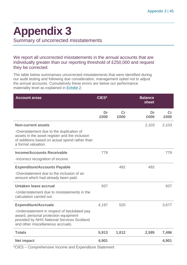# <span id="page-44-0"></span>**Appendix 3**

Summary of uncorrected misstatements

We report all uncorrected misstatements in the annual accounts that are individually greater than our reporting threshold of £250,000 and request they be corrected.

The table below summarises uncorrected misstatements that were identified during our audit testing and following due consideration, management opted not to adjust the annual accounts. Cumulatively these errors are below our performance materiality level as explained in [Exhibit 2.](#page-10-0)

| <b>Account areas</b>                                                                                                                                                   | CIES*      |            | <b>Balance</b><br>sheet |                        |
|------------------------------------------------------------------------------------------------------------------------------------------------------------------------|------------|------------|-------------------------|------------------------|
|                                                                                                                                                                        | Dr<br>£000 | cr<br>£000 | Dr<br>£000              | $\mathbf{C}$ r<br>£000 |
| <b>Non-current assets</b>                                                                                                                                              |            |            | 2,103                   | 2,103                  |
| -Overstatement due to the duplication of<br>assets in the asset register and the inclusion<br>of additions based on actual spend rather than<br>a formal valuation.    |            |            |                         |                        |
| <b>Income/Accounts Receivable</b>                                                                                                                                      | 779        |            |                         | 779                    |
| -Incorrect recognition of income.                                                                                                                                      |            |            |                         |                        |
| <b>Expenditure/Accounts Payable</b>                                                                                                                                    |            | 492        | 492                     |                        |
| -Overstatement due to the inclusion of an<br>amount which had already been paid.                                                                                       |            |            |                         |                        |
| Untaken leave accrual                                                                                                                                                  | 937        |            |                         | 937                    |
| -Understatement due to misstatements in the<br>calculation carried out.                                                                                                |            |            |                         |                        |
| <b>Expenditure/Accruals</b>                                                                                                                                            | 4,197      | 520        |                         | 3,677                  |
| -Understatement in respect of backdated pay<br>award, personal protection equipment<br>provided by NHS National Services Scotland<br>and other miscellaneous accruals. |            |            |                         |                        |
| <b>Totals</b>                                                                                                                                                          | 5,913      | 1,012      | 2,595                   | 7,496                  |
| <b>Net impact</b>                                                                                                                                                      | 4,901      |            |                         | 4,901                  |

\*CIES – Comprehensive Income and Expenditure Statement